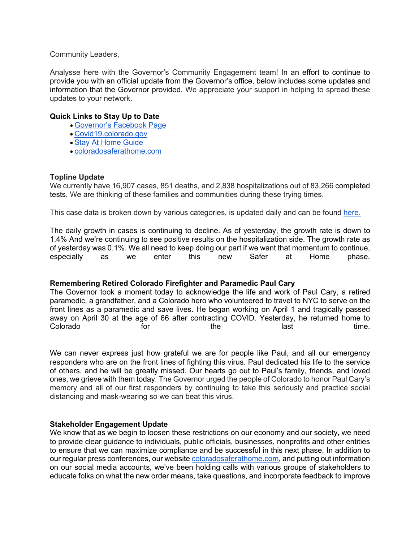Community Leaders,

Analysse here with the Governor's Community Engagement team! In an effort to continue to provide you with an official update from the Governor's office, below includes some updates and information that the Governor provided. We appreciate your support in helping to spread these updates to your network.

### **Quick Links to Stay Up to Date**

- Governor's Facebook Page
- Covid19.colorado.gov
- Stay At Home Guide
- coloradosaferathome.com

## **Topline Update**

We currently have 16,907 cases, 851 deaths, and 2,838 hospitalizations out of 83,266 completed tests. We are thinking of these families and communities during these trying times.

This case data is broken down by various categories, is updated daily and can be found here.

The daily growth in cases is continuing to decline. As of yesterday, the growth rate is down to 1.4% And we're continuing to see positive results on the hospitalization side. The growth rate as of yesterday was 0.1%. We all need to keep doing our part if we want that momentum to continue, especially as we enter this new Safer at Home phase.

### **Remembering Retired Colorado Firefighter and Paramedic Paul Cary**

The Governor took a moment today to acknowledge the life and work of Paul Cary, a retired paramedic, a grandfather, and a Colorado hero who volunteered to travel to NYC to serve on the front lines as a paramedic and save lives. He began working on April 1 and tragically passed away on April 30 at the age of 66 after contracting COVID. Yesterday, he returned home to Colorado **colorado** for the last time.

We can never express just how grateful we are for people like Paul, and all our emergency responders who are on the front lines of fighting this virus. Paul dedicated his life to the service of others, and he will be greatly missed. Our hearts go out to Paul's family, friends, and loved ones, we grieve with them today. The Governor urged the people of Colorado to honor Paul Cary's memory and all of our first responders by continuing to take this seriously and practice social distancing and mask-wearing so we can beat this virus.

### **Stakeholder Engagement Update**

We know that as we begin to loosen these restrictions on our economy and our society, we need to provide clear guidance to individuals, public officials, businesses, nonprofits and other entities to ensure that we can maximize compliance and be successful in this next phase. In addition to our regular press conferences, our website coloradosaferathome.com, and putting out information on our social media accounts, we've been holding calls with various groups of stakeholders to educate folks on what the new order means, take questions, and incorporate feedback to improve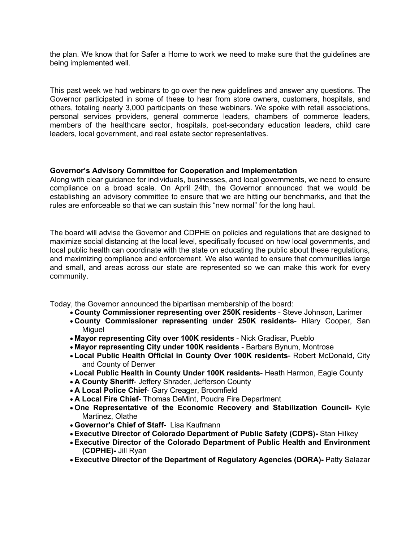the plan. We know that for Safer a Home to work we need to make sure that the guidelines are being implemented well.

This past week we had webinars to go over the new guidelines and answer any questions. The Governor participated in some of these to hear from store owners, customers, hospitals, and others, totaling nearly 3,000 participants on these webinars. We spoke with retail associations, personal services providers, general commerce leaders, chambers of commerce leaders, members of the healthcare sector, hospitals, post-secondary education leaders, child care leaders, local government, and real estate sector representatives.

### **Governor's Advisory Committee for Cooperation and Implementation**

Along with clear guidance for individuals, businesses, and local governments, we need to ensure compliance on a broad scale. On April 24th, the Governor announced that we would be establishing an advisory committee to ensure that we are hitting our benchmarks, and that the rules are enforceable so that we can sustain this "new normal" for the long haul.

The board will advise the Governor and CDPHE on policies and regulations that are designed to maximize social distancing at the local level, specifically focused on how local governments, and local public health can coordinate with the state on educating the public about these regulations, and maximizing compliance and enforcement. We also wanted to ensure that communities large and small, and areas across our state are represented so we can make this work for every community.

Today, the Governor announced the bipartisan membership of the board:

- **County Commissioner representing over 250K residents**  Steve Johnson, Larimer
- **County Commissioner representing under 250K residents** Hilary Cooper, San **Miguel**
- **Mayor representing City over 100K residents**  Nick Gradisar, Pueblo
- **Mayor representing City under 100K residents**  Barbara Bynum, Montrose
- **Local Public Health Official in County Over 100K residents** Robert McDonald, City and County of Denver
- **Local Public Health in County Under 100K residents** Heath Harmon, Eagle County
- **A County Sheriff** Jeffery Shrader, Jefferson County
- **A Local Police Chief** Gary Creager, Broomfield
- **A Local Fire Chief** Thomas DeMint, Poudre Fire Department
- **One Representative of the Economic Recovery and Stabilization Council-** Kyle Martinez, Olathe
- **Governor's Chief of Staff-** Lisa Kaufmann
- **Executive Director of Colorado Department of Public Safety (CDPS)-** Stan Hilkey
- **Executive Director of the Colorado Department of Public Health and Environment (CDPHE)-** Jill Ryan
- **Executive Director of the Department of Regulatory Agencies (DORA)-** Patty Salazar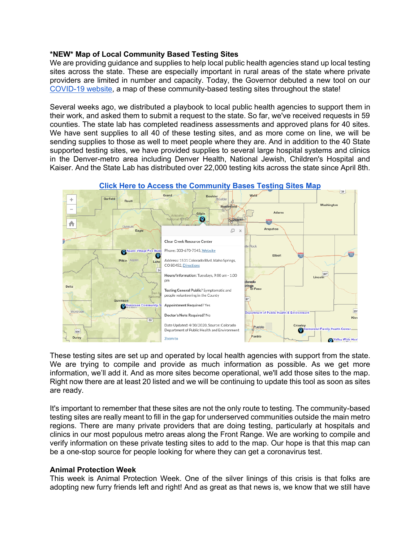### **\*NEW\* Map of Local Community Based Testing Sites**

We are providing guidance and supplies to help local public health agencies stand up local testing sites across the state. These are especially important in rural areas of the state where private providers are limited in number and capacity. Today, the Governor debuted a new tool on our COVID-19 website, a map of these community-based testing sites throughout the state!

Several weeks ago, we distributed a playbook to local public health agencies to support them in their work, and asked them to submit a request to the state. So far, we've received requests in 59 counties. The state lab has completed readiness assessments and approved plans for 40 sites. We have sent supplies to all 40 of these testing sites, and as more come on line, we will be sending supplies to those as well to meet people where they are. And in addition to the 40 State supported testing sites, we have provided supplies to several large hospital systems and clinics in the Denver-metro area including Denver Health, National Jewish, Children's Hospital and Kaiser. And the State Lab has distributed over 22,000 testing kits across the state since April 8th.



These testing sites are set up and operated by local health agencies with support from the state. We are trying to compile and provide as much information as possible. As we get more information, we'll add it. And as more sites become operational, we'll add those sites to the map. Right now there are at least 20 listed and we will be continuing to update this tool as soon as sites are ready.

It's important to remember that these sites are not the only route to testing. The community-based testing sites are really meant to fill in the gap for underserved communities outside the main metro regions. There are many private providers that are doing testing, particularly at hospitals and clinics in our most populous metro areas along the Front Range. We are working to compile and verify information on these private testing sites to add to the map. Our hope is that this map can be a one-stop source for people looking for where they can get a coronavirus test.

### **Animal Protection Week**

This week is Animal Protection Week. One of the silver linings of this crisis is that folks are adopting new furry friends left and right! And as great as that news is, we know that we still have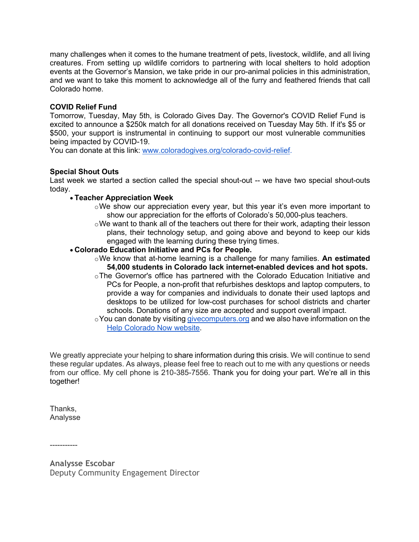many challenges when it comes to the humane treatment of pets, livestock, wildlife, and all living creatures. From setting up wildlife corridors to partnering with local shelters to hold adoption events at the Governor's Mansion, we take pride in our pro-animal policies in this administration, and we want to take this moment to acknowledge all of the furry and feathered friends that call Colorado home.

# **COVID Relief Fund**

Tomorrow, Tuesday, May 5th, is Colorado Gives Day. The Governor's COVID Relief Fund is excited to announce a \$250k match for all donations received on Tuesday May 5th. If it's \$5 or \$500, your support is instrumental in continuing to support our most vulnerable communities being impacted by COVID-19.

You can donate at this link: www.coloradogives.org/colorado-covid-relief.

## **Special Shout Outs**

Last week we started a section called the special shout-out -- we have two special shout-outs today.

# • **Teacher Appreciation Week**

- $\circ$ We show our appreciation every year, but this year it's even more important to show our appreciation for the efforts of Colorado's 50,000-plus teachers.
- oWe want to thank all of the teachers out there for their work, adapting their lesson plans, their technology setup, and going above and beyond to keep our kids engaged with the learning during these trying times.
- **Colorado Education Initiative and PCs for People.**
	- oWe know that at-home learning is a challenge for many families. **An estimated 54,000 students in Colorado lack internet-enabled devices and hot spots.**
	- oThe Governor's office has partnered with the Colorado Education Initiative and PCs for People, a non-profit that refurbishes desktops and laptop computers, to provide a way for companies and individuals to donate their used laptops and desktops to be utilized for low-cost purchases for school districts and charter schools. Donations of any size are accepted and support overall impact.
	- $\circ$ You can donate by visiting givecomputers.org and we also have information on the Help Colorado Now website.

We greatly appreciate your helping to share information during this crisis. We will continue to send these regular updates. As always, please feel free to reach out to me with any questions or needs from our office. My cell phone is 210-385-7556. Thank you for doing your part. We're all in this together!

Thanks, Analysse

-----------

**Analysse Escobar** Deputy Community Engagement Director